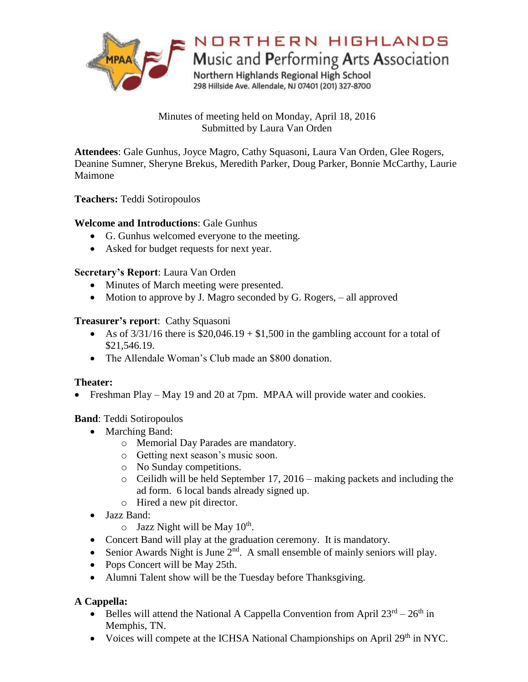

Minutes of meeting held on Monday, April 18, 2016 Submitted by Laura Van Orden

**Attendees**: Gale Gunhus, Joyce Magro, Cathy Squasoni, Laura Van Orden, Glee Rogers, Deanine Sumner, Sheryne Brekus, Meredith Parker, Doug Parker, Bonnie McCarthy, Laurie Maimone

**Teachers:** Teddi Sotiropoulos

# **Welcome and Introductions**: Gale Gunhus

- G. Gunhus welcomed everyone to the meeting.
- Asked for budget requests for next year.

### **Secretary's Report**: Laura Van Orden

- Minutes of March meeting were presented.
- Motion to approve by J. Magro seconded by G. Rogers, all approved

### **Treasurer's report**: Cathy Squasoni

- As of  $3/31/16$  there is \$20,046.19 + \$1,500 in the gambling account for a total of \$21,546.19.
- The Allendale Woman's Club made an \$800 donation.

## **Theater:**

• Freshman Play – May 19 and 20 at 7pm. MPAA will provide water and cookies.

**Band**: Teddi Sotiropoulos

- Marching Band:
	- o Memorial Day Parades are mandatory.
	- o Getting next season's music soon.
	- o No Sunday competitions.
	- $\circ$  Ceilidh will be held September 17, 2016 making packets and including the ad form. 6 local bands already signed up.
	- o Hired a new pit director.
- Jazz Band:
	- $\circ$  Jazz Night will be May 10<sup>th</sup>.
- Concert Band will play at the graduation ceremony. It is mandatory.
- Senior Awards Night is June  $2<sup>nd</sup>$ . A small ensemble of mainly seniors will play.
- Pops Concert will be May 25th.
- Alumni Talent show will be the Tuesday before Thanksgiving.

# **A Cappella:**

- Belles will attend the National A Cappella Convention from April  $23^{rd} 26^{th}$  in Memphis, TN.
- Voices will compete at the ICHSA National Championships on April 29<sup>th</sup> in NYC.